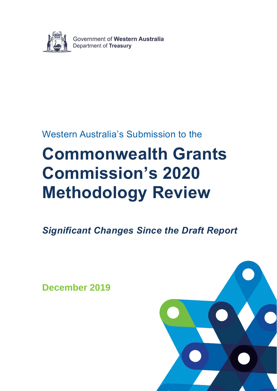

Government of Western Australia Department of Treasury

## Western Australia's Submission to the

# **Commonwealth Grants Commission's 2020 Methodology Review**

*Significant Changes Since the Draft Report*

**December 2019**

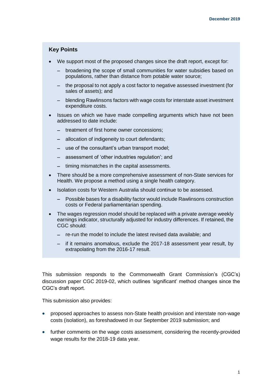#### **Key Points**

- We support most of the proposed changes since the draft report, except for:
	- − broadening the scope of small communities for water subsidies based on populations, rather than distance from potable water source;
	- − the proposal to not apply a cost factor to negative assessed investment (for sales of assets); and
	- − blending Rawlinsons factors with wage costs for interstate asset investment expenditure costs.
- Issues on which we have made compelling arguments which have not been addressed to date include:
	- − treatment of first home owner concessions;
	- − allocation of indigeneity to court defendants;
	- − use of the consultant's urban transport model;
	- − assessment of 'other industries regulation'; and
	- − timing mismatches in the capital assessments.
- There should be a more comprehensive assessment of non-State services for Health. We propose a method using a single health category.
- Isolation costs for Western Australia should continue to be assessed.
	- − Possible bases for a disability factor would include Rawlinsons construction costs or Federal parliamentarian spending.
- The wages regression model should be replaced with a private average weekly earnings indicator, structurally adjusted for industry differences. If retained, the CGC should:
	- − re-run the model to include the latest revised data available; and
	- − if it remains anomalous, exclude the 2017-18 assessment year result, by extrapolating from the 2016-17 result.

This submission responds to the Commonwealth Grant Commission's (CGC's) discussion paper CGC 2019-02, which outlines 'significant' method changes since the CGC's draft report.

This submission also provides:

- proposed approaches to assess non-State health provision and interstate non-wage costs (isolation), as foreshadowed in our September 2019 submission; and
- further comments on the wage costs assessment, considering the recently-provided wage results for the 2018-19 data year.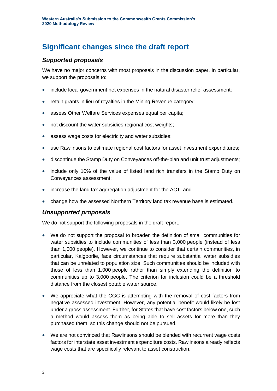## **Significant changes since the draft report**

#### *Supported proposals*

We have no major concerns with most proposals in the discussion paper. In particular, we support the proposals to:

- include local government net expenses in the natural disaster relief assessment;
- retain grants in lieu of royalties in the Mining Revenue category;
- assess Other Welfare Services expenses equal per capita;
- not discount the water subsidies regional cost weights;
- assess wage costs for electricity and water subsidies;
- use Rawlinsons to estimate regional cost factors for asset investment expenditures;
- discontinue the Stamp Duty on Conveyances off-the-plan and unit trust adjustments;
- include only 10% of the value of listed land rich transfers in the Stamp Duty on Conveyances assessment;
- increase the land tax aggregation adjustment for the ACT; and
- change how the assessed Northern Territory land tax revenue base is estimated.

#### *Unsupported proposals*

We do not support the following proposals in the draft report.

- We do not support the proposal to broaden the definition of small communities for water subsidies to include communities of less than 3,000 people (instead of less than 1,000 people). However, we continue to consider that certain communities, in particular, Kalgoorlie, face circumstances that require substantial water subsidies that can be unrelated to population size. Such communities should be included with those of less than 1,000 people rather than simply extending the definition to communities up to 3,000 people. The criterion for inclusion could be a threshold distance from the closest potable water source.
- We appreciate what the CGC is attempting with the removal of cost factors from negative assessed investment. However, any potential benefit would likely be lost under a gross assessment. Further, for States that have cost factors below one, such a method would assess them as being able to sell assets for more than they purchased them, so this change should not be pursued.
- We are not convinced that Rawlinsons should be blended with recurrent wage costs factors for interstate asset investment expenditure costs. Rawlinsons already reflects wage costs that are specifically relevant to asset construction.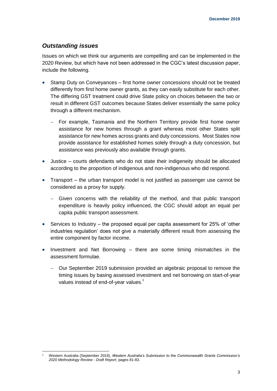#### *Outstanding issues*

Issues on which we think our arguments are compelling and can be implemented in the 2020 Review, but which have not been addressed in the CGC's latest discussion paper, include the following.

- Stamp Duty on Conveyances first home owner concessions should not be treated differently from first home owner grants, as they can easily substitute for each other. The differing GST treatment could drive State policy on choices between the two or result in different GST outcomes because States deliver essentially the same policy through a different mechanism.
	- For example, Tasmania and the Northern Territory provide first home owner assistance for new homes through a grant whereas most other States split assistance for new homes across grants and duty concessions. Most States now provide assistance for established homes solely through a duty concession, but assistance was previously also available through grants.
- Justice courts defendants who do not state their indigeneity should be allocated according to the proportion of indigenous and non-indigenous who did respond.
- Transport the urban transport model is not justified as passenger use cannot be considered as a proxy for supply.
	- Given concerns with the reliability of the method, and that public transport expenditure is heavily policy influenced, the CGC should adopt an equal per capita public transport assessment.
- Services to Industry the proposed equal per capita assessment for 25% of 'other industries regulation' does not give a materially different result from assessing the entire component by factor income.
- Investment and Net Borrowing there are some timing mismatches in the assessment formulae.
	- − Our September 2019 submission provided an algebraic proposal to remove the timing issues by basing assessed investment and net borrowing on start-of-year values instead of end-of-year values.<sup>1</sup>

<sup>1</sup> <sup>1</sup> Western Australia (September 2019), *Western Australia's Submission to the Commonwealth Grants Commission's 2020 Methodology Review - Draft Report*, pages 81-83.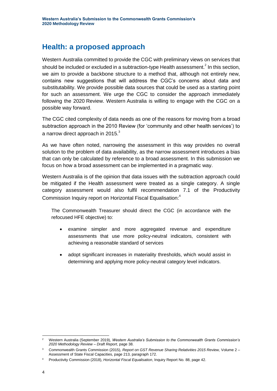### **Health: a proposed approach**

Western Australia committed to provide the CGC with preliminary views on services that should be included or excluded in a subtraction-type Health assessment.<sup>2</sup> In this section, we aim to provide a backbone structure to a method that, although not entirely new, contains new suggestions that will address the CGC's concerns about data and substitutability. We provide possible data sources that could be used as a starting point for such an assessment. We urge the CGC to consider the approach immediately following the 2020 Review. Western Australia is willing to engage with the CGC on a possible way forward.

The CGC cited complexity of data needs as one of the reasons for moving from a broad subtraction approach in the 2010 Review (for 'community and other health services') to a narrow direct approach in 2015. $3$ 

As we have often noted, narrowing the assessment in this way provides no overall solution to the problem of data availability, as the narrow assessment introduces a bias that can only be calculated by reference to a broad assessment. In this submission we focus on how a broad assessment can be implemented in a pragmatic way.

Western Australia is of the opinion that data issues with the subtraction approach could be mitigated if the Health assessment were treated as a single category. A single category assessment would also fulfil recommendation 7.1 of the Productivity Commission Inquiry report on Horizontal Fiscal Equalisation:<sup>4</sup>

The Commonwealth Treasurer should direct the CGC (in accordance with the refocused HFE objective) to:

- examine simpler and more aggregated revenue and expenditure assessments that use more policy-neutral indicators, consistent with achieving a reasonable standard of services
- adopt significant increases in materiality thresholds, which would assist in determining and applying more policy-neutral category level indicators.

<sup>-</sup><sup>2</sup> Western Australia (September 2019), *Western Australia's Submission to the Commonwealth Grants Commission's 2020 Methodology Review – Draft Report*, page 38.

<sup>3</sup> Commonwealth Grants Commission (2015), *Report on GST Revenue Sharing Relativities 2015 Review,* Volume 2 – Assessment of State Fiscal Capacities, page 213, paragraph 172.

<sup>4</sup> Productivity Commission (2018), *Horizontal Fiscal Equalisation*, Inquiry Report No. 88, page 42.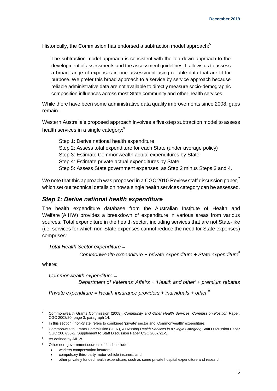Historically, the Commission has endorsed a subtraction model approach:<sup>5</sup>

The subtraction model approach is consistent with the top down approach to the development of assessments and the assessment guidelines. It allows us to assess a broad range of expenses in one assessment using reliable data that are fit for purpose. We prefer this broad approach to a service by service approach because reliable administrative data are not available to directly measure socio-demographic composition influences across most State community and other health services.

While there have been some administrative data quality improvements since 2008, gaps remain.

Western Australia's proposed approach involves a five-step subtraction model to assess health services in a single category:<sup>6</sup>

Step 1: Derive national health expenditure Step 2: Assess total expenditure for each State (under average policy) Step 3: Estimate Commonwealth actual expenditures by State Step 4: Estimate private actual expenditures by State Step 5: Assess State government expenses, as Step 2 minus Steps 3 and 4.

We note that this approach was proposed in a CGC 2010 Review staff discussion paper,  $\overline{\ }$ which set out technical details on how a single health services category can be assessed.

#### *Step 1: Derive national health expenditure*

The health expenditure database from the Australian Institute of Health and Welfare (AIHW) provides a breakdown of expenditure in various areas from various sources. Total expenditure in the health sector, including services that are not State-like (i.e. services for which non-State expenses cannot reduce the need for State expenses) comprises:

*Total Health Sector expenditure =* 

*Commonwealth expenditure + private expenditure + State expenditure*<sup>8</sup>

where:

*Commonwealth expenditure =* 

*Department of Veterans' Affairs + 'Health and other' + premium rebates*

*Private expenditure = Health insurance providers + individuals + other* <sup>9</sup>

<sup>1</sup> <sup>5</sup> Commonwealth Grants Commission (2008), *Community and Other Health Services, Commission Position Paper,* CGC 2008/20, page 3, paragraph 14.

<sup>&</sup>lt;sup>6</sup> In this section, 'non-State' refers to combined 'private' sector and 'Commonwealth' expenditure.

<sup>7</sup> Commonwealth Grants Commission (2007), *Assessing Health Services in a Single Category,* Staff Discussion Paper CGC 2007/36-S, Supplement to Staff Discussion Paper CGC 2007/21-S.

<sup>8</sup> As defined by AIHW.

<sup>9</sup> Other non-government sources of funds include:

<sup>•</sup> workers compensation insurers;

<sup>•</sup> compulsory third-party motor vehicle insurers; and

<sup>•</sup> other privately funded health expenditure, such as some private hospital expenditure and research.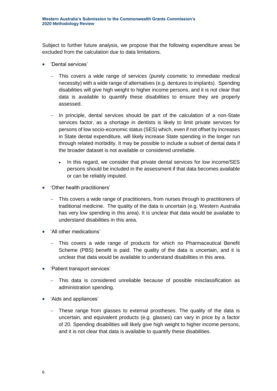Subject to further future analysis, we propose that the following expenditure areas be excluded from the calculation due to data limitations.

- 'Dental services'
	- This covers a wide range of services (purely cosmetic to immediate medical necessity) with a wide range of alternatives (e.g. dentures to implants). Spending disabilities will give high weight to higher income persons, and it is not clear that data is available to quantify these disabilities to ensure they are properly assessed.
	- − In principle, dental services should be part of the calculation of a non-State services factor, as a shortage in dentists is likely to limit private services for persons of low socio-economic status (SES) which, even if not offset by increases in State dental expenditure, will likely increase State spending in the longer run through related morbidity. It may be possible to include a subset of dental data if the broader dataset is not available or considered unreliable.
		- In this regard, we consider that private dental services for low income/SES persons should be included in the assessment if that data becomes available or can be reliably imputed.
- 'Other health practitioners'
	- This covers a wide range of practitioners, from nurses through to practitioners of traditional medicine. The quality of the data is uncertain (e.g. Western Australia has very low spending in this area). It is unclear that data would be available to understand disabilities in this area.
- 'All other medications'
	- This covers a wide range of products for which no Pharmaceutical Benefit Scheme (PBS) benefit is paid. The quality of the data is uncertain, and it is unclear that data would be available to understand disabilities in this area.
- 'Patient transport services'
	- This data is considered unreliable because of possible misclassification as administration spending.
- 'Aids and appliances'
	- − These range from glasses to external prostheses. The quality of the data is uncertain, and equivalent products (e.g. glasses) can vary in price by a factor of 20. Spending disabilities will likely give high weight to higher income persons, and it is not clear that data is available to quantify these disabilities.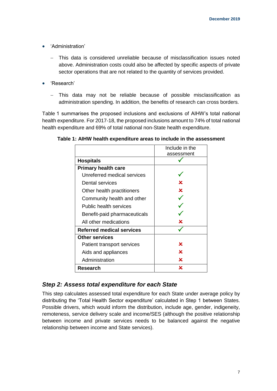- 'Administration'
	- This data is considered unreliable because of misclassification issues noted above. Administration costs could also be affected by specific aspects of private sector operations that are not related to the quantity of services provided.
- 'Research'
	- − This data may not be reliable because of possible misclassification as administration spending. In addition, the benefits of research can cross borders.

Table 1 summarises the proposed inclusions and exclusions of AIHW's total national health expenditure. For 2017-18, the proposed inclusions amount to 74% of total national health expenditure and 69% of total national non-State health expenditure.

|                                  | Include in the |  |  |  |
|----------------------------------|----------------|--|--|--|
|                                  | assessment     |  |  |  |
| <b>Hospitals</b>                 |                |  |  |  |
| <b>Primary health care</b>       |                |  |  |  |
| Unreferred medical services      |                |  |  |  |
| Dental services                  | x              |  |  |  |
| Other health practitioners       | x              |  |  |  |
| Community health and other       |                |  |  |  |
| Public health services           |                |  |  |  |
| Benefit-paid pharmaceuticals     |                |  |  |  |
| All other medications            | x              |  |  |  |
| <b>Referred medical services</b> |                |  |  |  |
| <b>Other services</b>            |                |  |  |  |
| Patient transport services       | x              |  |  |  |
| Aids and appliances              | x              |  |  |  |
| Administration                   | x              |  |  |  |
| Research                         | x              |  |  |  |

**Table 1: AIHW health expenditure areas to include in the assessment**

#### *Step 2: Assess total expenditure for each State*

This step calculates assessed total expenditure for each State under average policy by distributing the 'Total Health Sector expenditure' calculated in Step 1 between States. Possible drivers, which would inform the distribution, include age, gender, indigeneity, remoteness, service delivery scale and income/SES (although the positive relationship between income and private services needs to be balanced against the negative relationship between income and State services).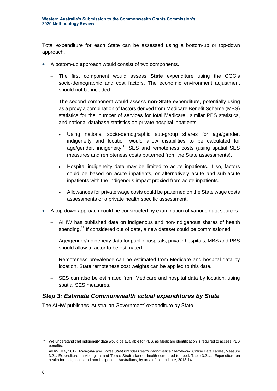Total expenditure for each State can be assessed using a bottom-up or top-down approach.

- A bottom-up approach would consist of two components.
	- The first component would assess **State** expenditure using the CGC's socio-demographic and cost factors. The economic environment adjustment should not be included.
	- − The second component would assess **non-State** expenditure, potentially using as a proxy a combination of factors derived from Medicare Benefit Scheme (MBS) statistics for the 'number of services for total Medicare', similar PBS statistics, and national database statistics on private hospital inpatients.
		- Using national socio-demographic sub-group shares for age/gender, indigeneity and location would allow disabilities to be calculated for age/gender, indigeneity, $10^{\circ}$  SES and remoteness costs (using spatial SES measures and remoteness costs patterned from the State assessments).
		- Hospital indigeneity data may be limited to acute inpatients. If so, factors could be based on acute inpatients, or alternatively acute and sub-acute inpatients with the indigenous impact proxied from acute inpatients.
		- Allowances for private wage costs could be patterned on the State wage costs assessments or a private health specific assessment.
- A top-down approach could be constructed by examination of various data sources.
	- − AIHW has published data on indigenous and non-indigenous shares of health spending.<sup>11</sup> If considered out of date, a new dataset could be commissioned.
	- − Age/gender/indigeneity data for public hospitals, private hospitals, MBS and PBS should allow a factor to be estimated.
	- − Remoteness prevalence can be estimated from Medicare and hospital data by location. State remoteness cost weights can be applied to this data.
	- − SES can also be estimated from Medicare and hospital data by location, using spatial SES measures.

#### *Step 3: Estimate Commonwealth actual expenditures by State*

The AIHW publishes 'Australian Government' expenditure by State.

<sup>-</sup><sup>10</sup> We understand that indigeneity data would be available for PBS, as Medicare identification is required to access PBS benefits.

<sup>11</sup> AIHW, May 2017, *Aboriginal and Torres Strait Islander Health Performance Framework*, Online Data Tables, Measure 3.21: Expenditure on Aboriginal and Torres Strait Islander health compared to need, Table 3.21.1: Expenditure on health for Indigenous and non-Indigenous Australians, by area of expenditure, 2013-14.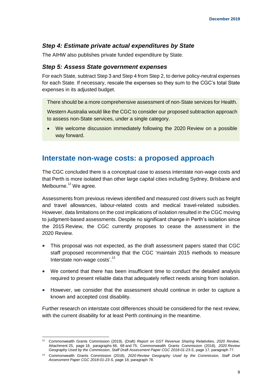#### *Step 4: Estimate private actual expenditures by State*

The AIHW also publishes private funded expenditure by State.

#### *Step 5: Assess State government expenses*

For each State, subtract Step 3 and Step 4 from Step 2, to derive policy-neutral expenses for each State. If necessary, rescale the expenses so they sum to the CGC's total State expenses in its adjusted budget.

There should be a more comprehensive assessment of non-State services for Health.

Western Australia would like the CGC to consider our proposed subtraction approach to assess non-State services, under a single category.

• We welcome discussion immediately following the 2020 Review on a possible way forward.

#### **Interstate non-wage costs: a proposed approach**

The CGC concluded there is a conceptual case to assess interstate non-wage costs and that Perth is more isolated than other large capital cities including Sydney, Brisbane and Melbourne. $12$  We agree.

Assessments from previous reviews identified and measured cost drivers such as freight and travel allowances, labour-related costs and medical travel-related subsidies. However, data limitations on the cost implications of isolation resulted in the CGC moving to judgment-based assessments. Despite no significant change in Perth's isolation since the 2015 Review, the CGC currently proposes to cease the assessment in the 2020 Review.

- This proposal was not expected, as the draft assessment papers stated that CGC staff proposed recommending that the CGC 'maintain 2015 methods to measure Interstate non-wage costs'.<sup>13</sup>
- We contend that there has been insufficient time to conduct the detailed analysis required to present reliable data that adequately reflect needs arising from isolation.
- However, we consider that the assessment should continue in order to capture a known and accepted cost disability.

Further research on interstate cost differences should be considered for the next review, with the current disability for at least Perth continuing in the meantime.

<sup>-</sup><sup>12</sup> Commonwealth Grants Commission (2019), (Draft) *Report on GST Revenue Sharing Relativities, 2020 Review*, Attachment 25, page 18, paragraphs 66, 68 and 75; Commonwealth Grants Commission (2018), *2020 Review Geography Used by the Commission*, *Staff Draft Assessment Paper CGC 2018-01-23-S*, page 17, paragraph 77.

<sup>13</sup> Commonwealth Grants Commission (2018), *2020 Review Geography Used by the Commission, Staff Draft Assessment Paper CGC 2018-01-23-S*, page 18, paragraph 78.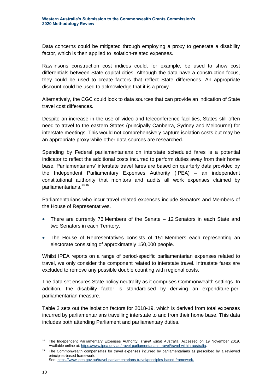Data concerns could be mitigated through employing a proxy to generate a disability factor, which is then applied to isolation-related expenses.

Rawlinsons construction cost indices could, for example, be used to show cost differentials between State capital cities. Although the data have a construction focus, they could be used to create factors that reflect State differences. An appropriate discount could be used to acknowledge that it is a proxy.

Alternatively, the CGC could look to data sources that can provide an indication of State travel cost differences.

Despite an increase in the use of video and teleconference facilities, States still often need to travel to the eastern States (principally Canberra, Sydney and Melbourne) for interstate meetings. This would not comprehensively capture isolation costs but may be an appropriate proxy while other data sources are researched.

Spending by Federal parliamentarians on interstate scheduled fares is a potential indicator to reflect the additional costs incurred to perform duties away from their home base. Parliamentarians' interstate travel fares are based on quarterly data provided by the Independent Parliamentary Expenses Authority (IPEA) – an independent constitutional authority that monitors and audits all work expenses claimed by parliamentarians.<sup>14,15</sup>

Parliamentarians who incur travel-related expenses include Senators and Members of the House of Representatives.

- There are currently 76 Members of the Senate 12 Senators in each State and two Senators in each Territory.
- The House of Representatives consists of 151 Members each representing an electorate consisting of approximately 150,000 people.

Whilst IPEA reports on a range of period-specific parliamentarian expenses related to travel, we only consider the component related to interstate travel. Intrastate fares are excluded to remove any possible double counting with regional costs.

The data set ensures State policy neutrality as it comprises Commonwealth settings. In addition, the disability factor is standardised by deriving an expenditure-perparliamentarian measure.

Table 2 sets out the isolation factors for 2018-19, which is derived from total expenses incurred by parliamentarians travelling interstate to and from their home base. This data includes both attending Parliament and parliamentary duties.

See[: https://www.ipea.gov.au/travel-parliamentarians-travel/principles-based-framework.](https://www.ipea.gov.au/travel-parliamentarians-travel/principles-based-framework)

<sup>-</sup><sup>14</sup> The Independent Parliamentary Expenses Authority, *Travel within Australia*. Accessed on 19 November 2019. Available online at[: https://www.ipea.gov.au/travel-parliamentarians-travel/travel-within-australia.](https://www.ipea.gov.au/travel-parliamentarians-travel/travel-within-australia)

<sup>15</sup> The Commonwealth compensates for travel expenses incurred by parliamentarians as prescribed by a reviewed principles-based framework.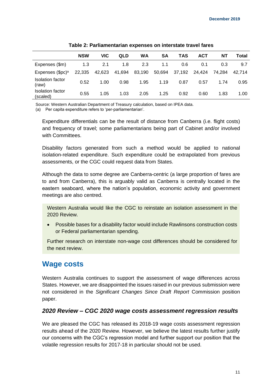|                                  | <b>NSW</b> | VIC    | QLD    | WA     | SΑ     | TAS    | <b>ACT</b> | ΝT     | Total  |
|----------------------------------|------------|--------|--------|--------|--------|--------|------------|--------|--------|
| Expenses (\$m)                   | 1.3        | 2.1    | 1.8    | 2.3    | 1.1    | 0.6    | 0.1        | 0.3    | 9.7    |
| Expenses (\$pc) <sup>a</sup>     | 22,335     | 42,623 | 41,694 | 83,190 | 50,694 | 37,192 | 24.424     | 74.284 | 42.714 |
| <b>Isolation factor</b><br>(raw) | 0.52       | 1.00   | 0.98   | 1.95   | 1.19   | 0.87   | 0.57       | 1.74   | 0.95   |
| Isolation factor<br>(scaled)     | 0.55       | 1.05   | 1.03   | 2.05   | 1.25   | 0.92   | 0.60       | 1.83   | 1.00   |

**Table 2: Parliamentarian expenses on interstate travel fares**

Source: Western Australian Department of Treasury calculation, based on IPEA data.

(a) Per capita expenditure refers to 'per-parliamentarian'.

Expenditure differentials can be the result of distance from Canberra (i.e. flight costs) and frequency of travel; some parliamentarians being part of Cabinet and/or involved with Committees.

Disability factors generated from such a method would be applied to national isolation-related expenditure. Such expenditure could be extrapolated from previous assessments, or the CGC could request data from States.

Although the data to some degree are Canberra-centric (a large proportion of fares are to and from Canberra), this is arguably valid as Canberra is centrally located in the eastern seaboard, where the nation's population, economic activity and government meetings are also centred.

Western Australia would like the CGC to reinstate an isolation assessment in the 2020 Review.

• Possible bases for a disability factor would include Rawlinsons construction costs or Federal parliamentarian spending.

Further research on interstate non-wage cost differences should be considered for the next review.

#### **Wage costs**

Western Australia continues to support the assessment of wage differences across States. However, we are disappointed the issues raised in our previous submission were not considered in the *Significant Changes Since Draft Report* Commission position paper.

#### *2020 Review – CGC 2020 wage costs assessment regression results*

We are pleased the CGC has released its 2018-19 wage costs assessment regression results ahead of the 2020 Review. However, we believe the latest results further justify our concerns with the CGC's regression model and further support our position that the volatile regression results for 2017-18 in particular should not be used.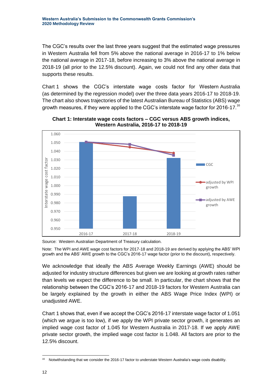The CGC's results over the last three years suggest that the estimated wage pressures in Western Australia fell from 5% above the national average in 2016-17 to 1% below the national average in 2017-18, before increasing to 3% above the national average in 2018-19 (all prior to the 12.5% discount). Again, we could not find any other data that supports these results.

Chart 1 shows the CGC's interstate wage costs factor for Western Australia (as determined by the regression model) over the three data years 2016-17 to 2018-19. The chart also shows trajectories of the latest Australian Bureau of Statistics (ABS) wage growth measures, if they were applied to the CGC's interstate wage factor for 2016-17.<sup>16</sup>



**Chart 1: Interstate wage costs factors – CGC versus ABS growth indices, Western Australia, 2016-17 to 2018-19**

Note: The WPI and AWE wage cost factors for 2017-18 and 2018-19 are derived by applying the ABS' WPI growth and the ABS' AWE growth to the CGC's 2016-17 wage factor (prior to the discount), respectively.

We acknowledge that ideally the ABS Average Weekly Earnings (AWE) should be adjusted for industry structure differences but given we are looking at growth rates rather than levels we expect the difference to be small. In particular, the chart shows that the relationship between the CGC's 2016-17 and 2018-19 factors for Western Australia can be largely explained by the growth in either the ABS Wage Price Index (WPI) or unadjusted AWE.

Chart 1 shows that, even if we accept the CGC's 2016-17 interstate wage factor of 1.051 (which we argue is too low), if we apply the WPI private sector growth, it generates an implied wage cost factor of 1.045 for Western Australia in 2017-18. If we apply AWE private sector growth, the implied wage cost factor is 1.048. All factors are prior to the 12.5% discount.

Source: Western Australian Department of Treasury calculation.

<sup>-</sup><sup>16</sup> Notwithstanding that we consider the 2016-17 factor to understate Western Australia's wage costs disability.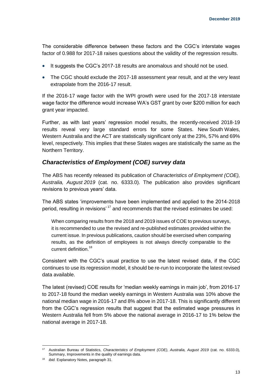The considerable difference between these factors and the CGC's interstate wages factor of 0.988 for 2017-18 raises questions about the validity of the regression results.

- It suggests the CGC's 2017-18 results are anomalous and should not be used.
- The CGC should exclude the 2017-18 assessment year result, and at the very least extrapolate from the 2016-17 result.

If the 2016-17 wage factor with the WPI growth were used for the 2017-18 interstate wage factor the difference would increase WA's GST grant by over \$200 million for each grant year impacted.

Further, as with last years' regression model results, the recently-received 2018-19 results reveal very large standard errors for some States. New South Wales, Western Australia and the ACT are statistically significant only at the 23%, 57% and 69% level, respectively. This implies that these States wages are statistically the same as the Northern Territory.

#### *Characteristics of Employment (COE) survey data*

The ABS has recently released its publication of *Characteristics of Employment (COE), Australia, August 2019* (cat. no. 6333.0). The publication also provides significant revisions to previous years' data.

The ABS states 'improvements have been implemented and applied to the 2014-2018 period, resulting in revisions'<sup>17</sup> and recommends that the revised estimates be used:

When comparing results from the 2018 and 2019 issues of COE to previous surveys, it is recommended to use the revised and re-published estimates provided within the current issue. In previous publications, caution should be exercised when comparing results, as the definition of employees is not always directly comparable to the current definition.<sup>18</sup>

Consistent with the CGC's usual practice to use the latest revised data, if the CGC continues to use its regression model, it should be re-run to incorporate the latest revised data available.

The latest (revised) COE results for 'median weekly earnings in main job', from 2016-17 to 2017-18 found the median weekly earnings in Western Australia was 10% above the national median wage in 2016-17 and 8% above in 2017-18. This is significantly different from the CGC's regression results that suggest that the estimated wage pressures in Western Australia fell from 5% above the national average in 2016-17 to 1% below the national average in 2017-18.

<sup>-</sup><sup>17</sup> Australian Bureau of Statistics, *Characteristics of Employment (COE), Australia, August 2019* (cat. no. 6333.0), Summary, Improvements in the quality of earnings data.

<sup>18</sup> *ibid.* Explanatory Notes, paragraph 31.